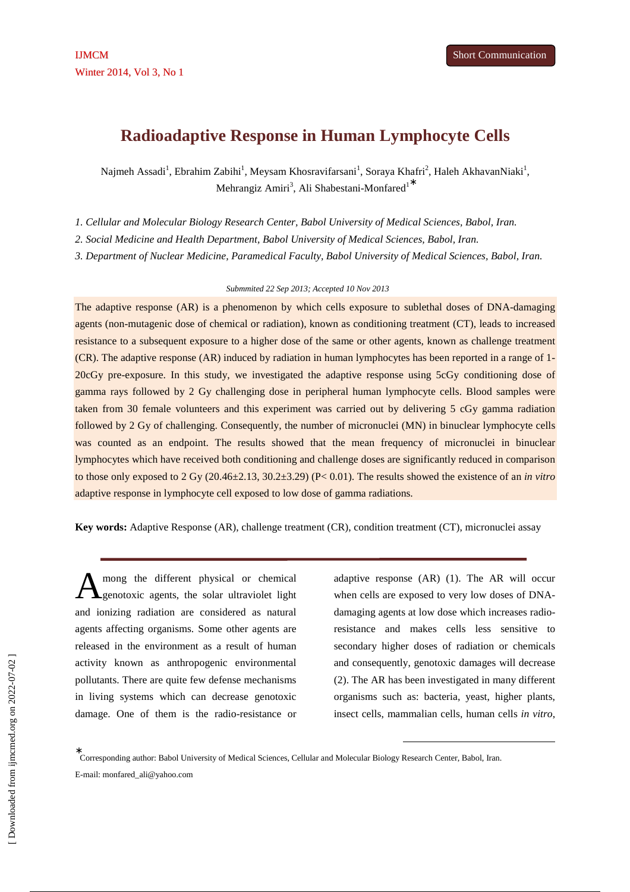# **Radioadaptive Response in Human Lymphocyte Cells**

Najmeh Assadi<sup>1</sup>, Ebrahim Zabihi<sup>1</sup>, Meysam Khosravifarsani<sup>1</sup>, Soraya Khafri<sup>2</sup>, Haleh AkhavanNiaki<sup>1</sup>, Mehrangiz Amiri<sup>3</sup>, Ali Shabestani-Monfared<sup>1</sup><sup>\*</sup>

*1. Cellular and Molecular Biology Research Center, Babol University of Medical Sciences, Babol, Iran.* 

*2. Social Medicine and Health Department, Babol University of Medical Sciences, Babol, Iran.* 

*3. Department of Nuclear Medicine, Paramedical Faculty, Babol University of Medical Sciences, Babol, Iran.* 

#### *Submmited 22 Sep 2013; Accepted 10 Nov 2013*

The adaptive response (AR) is a phenomenon by which cells exposure to sublethal doses of DNA-damaging agents (non-mutagenic dose of chemical or radiation), known as conditioning treatment (CT), leads to increased resistance to a subsequent exposure to a higher dose of the same or other agents, known as challenge treatment (CR). The adaptive response (AR) induced by radiation in human lymphocytes has been reported in a range of 1- 20cGy pre-exposure. In this study, we investigated the adaptive response using 5cGy conditioning dose of gamma rays followed by 2 Gy challenging dose in peripheral human lymphocyte cells. Blood samples were taken from 30 female volunteers and this experiment was carried out by delivering 5 cGy gamma radiation followed by 2 Gy of challenging. Consequently, the number of micronuclei (MN) in binuclear lymphocyte cells was counted as an endpoint. The results showed that the mean frequency of micronuclei in binuclear lymphocytes which have received both conditioning and challenge doses are significantly reduced in comparison to those only exposed to 2 Gy (20.46±2.13, 30.2±3.29) (P< 0.01). The results showed the existence of an *in vitro* adaptive response in lymphocyte cell exposed to low dose of gamma radiations.

**Key words:** Adaptive Response (AR), challenge treatment (CR), condition treatment (CT), micronuclei assay

mong the different physical or chemical genotoxic agents, the solar ultraviolet light and ionizing radiation are considered as natural agents affecting organisms. Some other agents are released in the environment as a result of human activity known as anthropogenic environmental pollutants. There are quite few defense mechanisms in living systems which can decrease genotoxic damage. One of them is the radio-resistance or A

adaptive response (AR) (1). The AR will occur when cells are exposed to very low doses of DNAdamaging agents at low dose which increases radioresistance and makes cells less sensitive to secondary higher doses of radiation or chemicals and consequently, genotoxic damages will decrease (2). The AR has been investigated in many different organisms such as: bacteria, yeast, higher plants, insect cells, mammalian cells, human cells *in vitro*,

-

∗ Corresponding author: Babol University of Medical Sciences, Cellular and Molecular Biology Research Center, Babol, Iran. E-mail: monfared\_ali@yahoo.com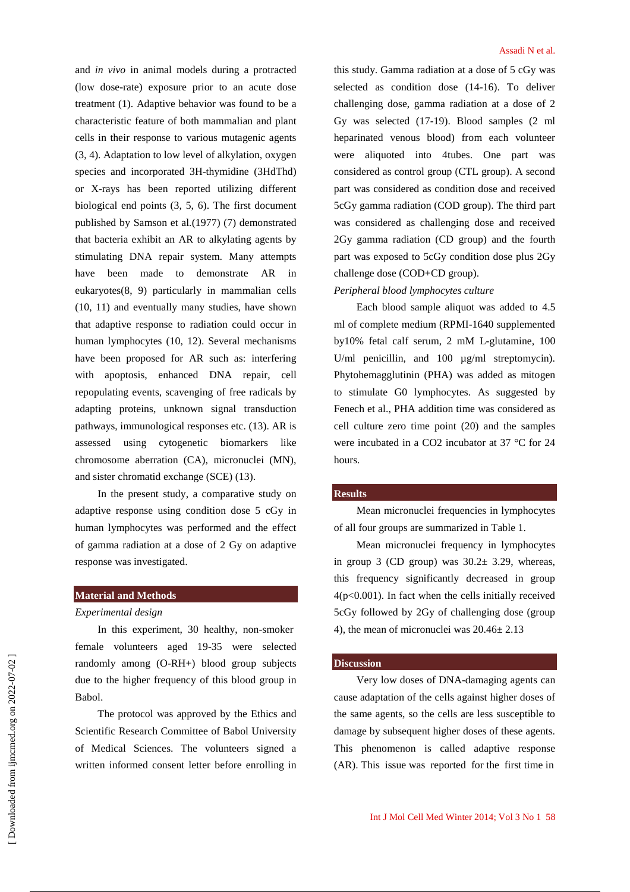and *in vivo* in animal models during a protracted (low dose-rate) exposure prior to an acute dose treatment (1). Adaptive behavior was found to be a characteristic feature of both mammalian and plant cells in their response to various mutagenic agents (3, 4). Adaptation to low level of alkylation, oxygen species and incorporated 3H-thymidine (3HdThd) or X-rays has been reported utilizing different biological end points (3, 5, 6). The first document published by Samson et al*.*(1977) (7) demonstrated that bacteria exhibit an AR to alkylating agents by stimulating DNA repair system. Many attempts have been made to demonstrate AR in eukaryotes(8, 9) particularly in mammalian cells (10, 11) and eventually many studies, have shown that adaptive response to radiation could occur in human lymphocytes (10, 12). Several mechanisms have been proposed for AR such as: interfering with apoptosis, enhanced DNA repair, cell repopulating events, scavenging of free radicals by adapting proteins, unknown signal transduction pathways, immunological responses etc. (13). AR is assessed using cytogenetic biomarkers like chromosome aberration (CA), micronuclei (MN), and sister chromatid exchange (SCE) (13).

In the present study, a comparative study on adaptive response using condition dose 5 cGy in human lymphocytes was performed and the effect of gamma radiation at a dose of 2 Gy on adaptive response was investigated.

## **Material and Methods**

### *Experimental design*

In this experiment, 30 healthy, non-smoker female volunteers aged 19-35 were selected randomly among (O-RH+) blood group subjects due to the higher frequency of this blood group in Babol.

The protocol was approved by the Ethics and Scientific Research Committee of Babol University of Medical Sciences. The volunteers signed a written informed consent letter before enrolling in this study. Gamma radiation at a dose of 5 cGy was selected as condition dose (14-16). To deliver challenging dose, gamma radiation at a dose of 2 Gy was selected (17-19). Blood samples (2 ml heparinated venous blood) from each volunteer were aliquoted into 4tubes. One part was considered as control group (CTL group). A second part was considered as condition dose and received 5cGy gamma radiation (COD group). The third part was considered as challenging dose and received 2Gy gamma radiation (CD group) and the fourth part was exposed to 5cGy condition dose plus 2Gy challenge dose (COD+CD group).

#### *Peripheral blood lymphocytes culture*

Each blood sample aliquot was added to 4.5 ml of complete medium (RPMI-1640 supplemented by10% fetal calf serum, 2 mM L-glutamine, 100 U/ml penicillin, and 100  $\mu$ g/ml streptomycin). Phytohemagglutinin (PHA) was added as mitogen to stimulate G0 lymphocytes. As suggested by Fenech et al., PHA addition time was considered as cell culture zero time point (20) and the samples were incubated in a CO2 incubator at 37 °C for 24 hours.

#### **Results**

Mean micronuclei frequencies in lymphocytes of all four groups are summarized in Table 1.

Mean micronuclei frequency in lymphocytes in group 3 (CD group) was  $30.2 \pm 3.29$ , whereas, this frequency significantly decreased in group 4(p<0.001). In fact when the cells initially received 5cGy followed by 2Gy of challenging dose (group 4), the mean of micronuclei was 20.46± 2.13

#### **Discussion**

Very low doses of DNA-damaging agents can cause adaptation of the cells against higher doses of the same agents, so the cells are less susceptible to damage by subsequent higher doses of these agents. This phenomenon is called adaptive response (AR). This issue was reported for the first time in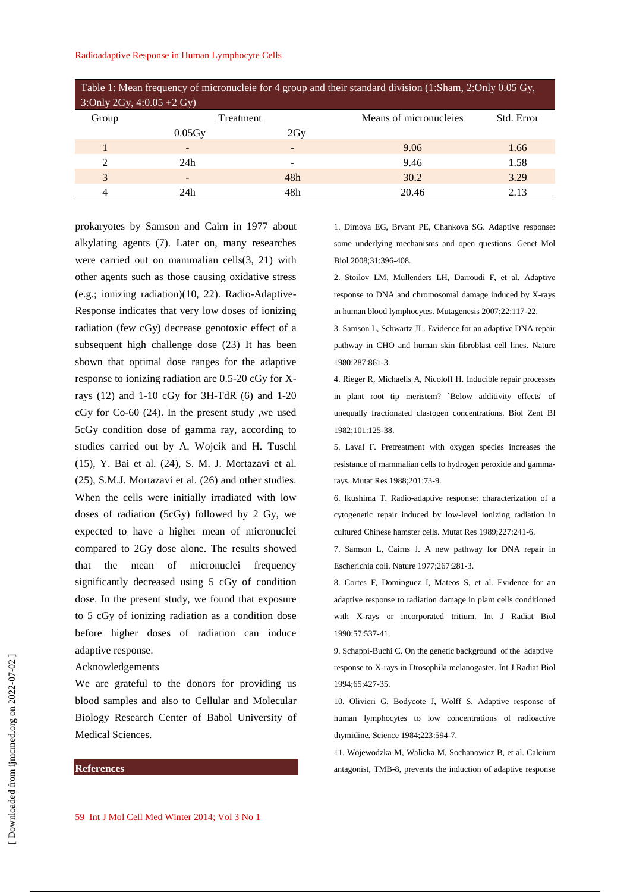#### Radioadaptive Response in Human Lymphocyte Cells

| Table 1: Mean frequency of micronucleie for 4 group and their standard division (1:Sham, 2:Only 0.05 Gy, |                 |     |                        |            |
|----------------------------------------------------------------------------------------------------------|-----------------|-----|------------------------|------------|
| $3:Only 2Gy, 4:0.05 + 2 Gy$                                                                              |                 |     |                        |            |
| Group                                                                                                    | Treatment       |     | Means of micronucleies | Std. Error |
|                                                                                                          | 0.05Gv          | 2Gv |                        |            |
|                                                                                                          |                 |     | 9.06                   | 1.66       |
| $\mathfrak{D}$                                                                                           | 24h             |     | 9.46                   | 1.58       |
| 3                                                                                                        | $\qquad \qquad$ | 48h | 30.2                   | 3.29       |
| 4                                                                                                        | 24h             | 48h | 20.46                  | 2.13       |

prokaryotes by Samson and Cairn in 1977 about alkylating agents (7). Later on, many researches were carried out on mammalian cells(3, 21) with other agents such as those causing oxidative stress (e.g.; ionizing radiation)(10, 22). Radio-Adaptive-Response indicates that very low doses of ionizing radiation (few cGy) decrease genotoxic effect of a subsequent high challenge dose (23) It has been shown that optimal dose ranges for the adaptive response to ionizing radiation are 0.5-20 cGy for Xrays (12) and 1-10 cGy for 3H-TdR (6) and 1-20 cGy for Co-60 (24). In the present study ,we used 5cGy condition dose of gamma ray, according to studies carried out by A. Wojcik and H. Tuschl (15), Y. Bai et al. (24), S. M. J. Mortazavi et al. (25), S.M.J. Mortazavi et al. (26) and other studies. When the cells were initially irradiated with low doses of radiation (5cGy) followed by 2 Gy, we expected to have a higher mean of micronuclei compared to 2Gy dose alone. The results showed that the mean of micronuclei frequency significantly decreased using 5 cGy of condition dose. In the present study, we found that exposure to 5 cGy of ionizing radiation as a condition dose before higher doses of radiation can induce adaptive response.

Acknowledgements

We are grateful to the donors for providing us blood samples and also to Cellular and Molecular Biology Research Center of Babol University of Medical Sciences.

## **References**

1. Dimova EG, Bryant PE, Chankova SG. Adaptive response: some underlying mechanisms and open questions. Genet Mol Biol 2008;31:396-408.

2. Stoilov LM, Mullenders LH, Darroudi F, et al. Adaptive response to DNA and chromosomal damage induced by X-rays in human blood lymphocytes. Mutagenesis 2007;22:117-22.

3. Samson L, Schwartz JL. Evidence for an adaptive DNA repair pathway in CHO and human skin fibroblast cell lines. Nature 1980;287:861-3.

4. Rieger R, Michaelis A, Nicoloff H. Inducible repair processes in plant root tip meristem? `Below additivity effects' of unequally fractionated clastogen concentrations. Biol Zent Bl 1982;101:125-38.

5. Laval F. Pretreatment with oxygen species increases the resistance of mammalian cells to hydrogen peroxide and gammarays. Mutat Res 1988;201:73-9.

6. Ikushima T. Radio-adaptive response: characterization of a cytogenetic repair induced by low-level ionizing radiation in cultured Chinese hamster cells. Mutat Res 1989;227:241-6.

7. Samson L, Cairns J. A new pathway for DNA repair in Escherichia coli. Nature 1977;267:281-3.

8. Cortes F, Dominguez I, Mateos S, et al. Evidence for an adaptive response to radiation damage in plant cells conditioned with X-rays or incorporated tritium. Int J Radiat Biol 1990;57:537-41.

9. Schappi-Buchi C. On the genetic background of the adaptive response to X-rays in Drosophila melanogaster. Int J Radiat Biol 1994;65:427-35.

10. Olivieri G, Bodycote J, Wolff S. Adaptive response of human lymphocytes to low concentrations of radioactive thymidine. Science 1984;223:594-7.

11. Wojewodzka M, Walicka M, Sochanowicz B, et al. Calcium antagonist, TMB-8, prevents the induction of adaptive response